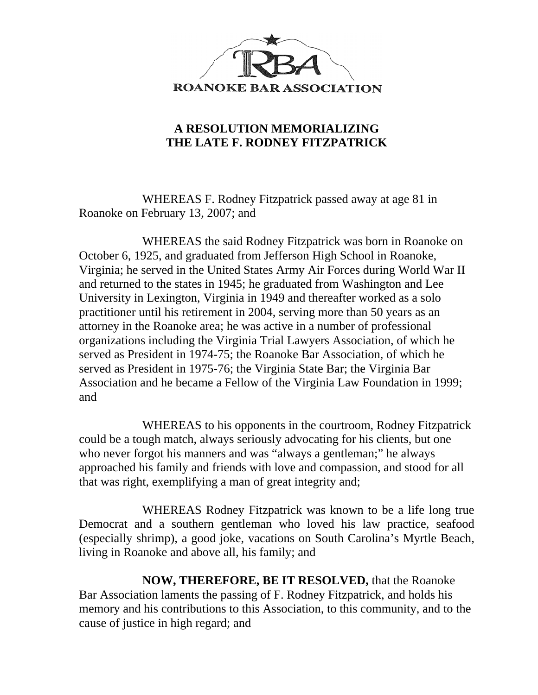

## **A RESOLUTION MEMORIALIZING THE LATE F. RODNEY FITZPATRICK**

WHEREAS F. Rodney Fitzpatrick passed away at age 81 in Roanoke on February 13, 2007; and

WHEREAS the said Rodney Fitzpatrick was born in Roanoke on October 6, 1925, and graduated from Jefferson High School in Roanoke, Virginia; he served in the United States Army Air Forces during World War II and returned to the states in 1945; he graduated from Washington and Lee University in Lexington, Virginia in 1949 and thereafter worked as a solo practitioner until his retirement in 2004, serving more than 50 years as an attorney in the Roanoke area; he was active in a number of professional organizations including the Virginia Trial Lawyers Association, of which he served as President in 1974-75; the Roanoke Bar Association, of which he served as President in 1975-76; the Virginia State Bar; the Virginia Bar Association and he became a Fellow of the Virginia Law Foundation in 1999; and

WHEREAS to his opponents in the courtroom, Rodney Fitzpatrick could be a tough match, always seriously advocating for his clients, but one who never forgot his manners and was "always a gentleman;" he always approached his family and friends with love and compassion, and stood for all that was right, exemplifying a man of great integrity and;

WHEREAS Rodney Fitzpatrick was known to be a life long true Democrat and a southern gentleman who loved his law practice, seafood (especially shrimp), a good joke, vacations on South Carolina's Myrtle Beach, living in Roanoke and above all, his family; and

**NOW, THEREFORE, BE IT RESOLVED,** that the Roanoke Bar Association laments the passing of F. Rodney Fitzpatrick, and holds his memory and his contributions to this Association, to this community, and to the cause of justice in high regard; and